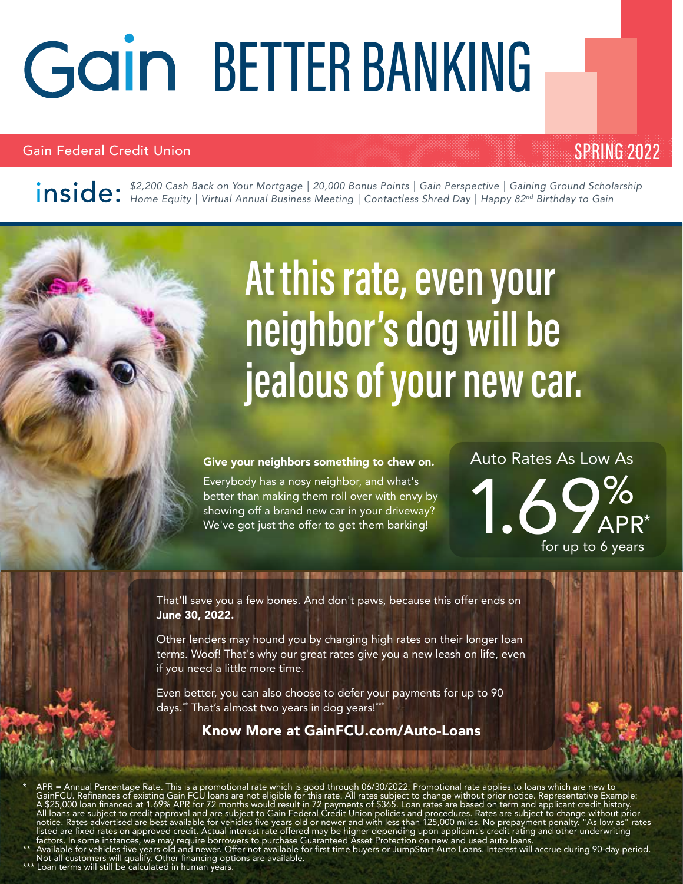# Gain BETTER BANKING

#### Gain Federal Credit Union

#### SPRING 2022

*\$2,200 Cash Back on Your Mortgage | 20,000 Bonus Points | Gain Perspective | Gaining Ground Scholarship Home Equity | Virtual Annual Business Meeting | Contactless Shred Day | Happy 82nd Birthday to Gain*

## **At this rate, even your neighbor's dog will be jealous of your new car.**

#### Give your neighbors something to chew on.

Everybody has a nosy neighbor, and what's better than making them roll over with envy by showing off a brand new car in your driveway? Everybody has a nosy neighbor, and what's<br>better than making them roll over with envy by<br>showing off a brand new car in your driveway?<br>We've got just the offer to get them barking!<br>for up to 6 year

I IS **SHOW** SHOW A GOVERNMENT OF RESIDENCE ON A

APR\* Auto Rates As Low As for up to 6 years

That'll save you a few bones. And don't paws, because this offer ends on June 30, 2022.

Other lenders may hound you by charging high rates on their longer loan terms. Woof! That's why our great rates give you a new leash on life, even if you need a little more time.

Even better, you can also choose to defer your payments for up to 90 days.\*\* That's almost two years in dog years!\*\*\*

#### Know More at GainFCU.com/Auto-Loans

\* APR = Annual Percentage Rate. This is a promotional rate which is good through 06/30/2022. Promotional rate applies to loans which are new to GainFCU. Refinances of existing Gain FCU loans are not eligible for this rate. All rates subject to change without prior notice. Representative Example: A \$25,000 loan financed at 1.69% APR for 72 months would result in 72 payments of \$365. Loan rates are based on term and applicant credit history. All loans are subject to credit approval and are subject to Gain Federal Credit Union policies and procedures. Rates are subject to change without prior notice. Rates advertised are best available for vehicles five years old or newer and with less than 125,000 miles. No prepayment penalty. "As low as" rates listed are fixed rates on approved credit. Actual interest rate offered may be higher depending upon applicant's credit rating and other underwriting factors. In some instances, we may require borrowers to purchase Guaranteed Asset Protection on new and used auto loans.

\*\* Available for vehicles five years old and newer. Offer not available for first time buyers or JumpStart Auto Loans. Interest will accrue during 90-day period. Not all customers will qualify. Other financing options are available.

\*\*\* Loan terms will still be calculated in human years.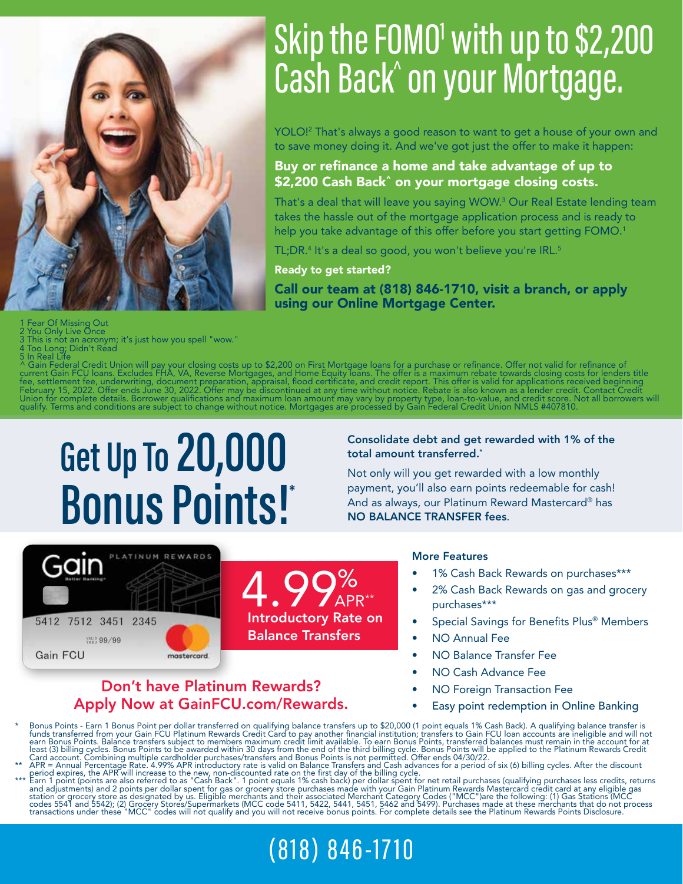

## Skip the FOMO<sup>1</sup> with up to \$2,200 Cash Back^ on your Mortgage.

YOLO!2 That's always a good reason to want to get a house of your own and to save money doing it. And we've got just the offer to make it happen:

#### Buy or refinance a home and take advantage of up to \$2,200 Cash Back^ on your mortgage closing costs.

That's a deal that will leave you saying WOW.3 Our Real Estate lending team takes the hassle out of the mortgage application process and is ready to help you take advantage of this offer before you start getting FOMO.<sup>1</sup>

TL;DR.4 It's a deal so good, you won't believe you're IRL.5

Ready to get started?

Call our team at (818) 846-1710, visit a branch, or apply using our Online Mortgage Center.

Fear Of Missing Out

You Only Live Once

*䢷䢶䢳䢴䢢䢢䢹䢷䢳䢴䢢䢢䢵䢶䢷䢳䢢䢢䢴䢵䢶䢷*

<sup>VALID</sup> 99/99

Gain FCU

Gain

This is not an acronym; it's just how you spell "wow."

4 Too Long; Didn't Read<br>^ Gain Federal Credit Union will pay your closing costs up to \$2,200 on First Mortgage loans for a purchase or refinance. Offer not valid for refinance of<br>^ Gain Federal Credit Union will pay your c

## **Get Up To 20,000 Bonus Points!\***

PLATINUM REWARDS

Don't have Platinum Rewards? Apply Now at GainFCU.com/Rewards.

mostercord.

Consolidate debt and get rewarded with 1% of the total amount transferred.\*

Not only will you get rewarded with a low monthly payment, you'll also earn points redeemable for cash! And as always, our Platinum Reward Mastercard® has NO BALANCE TRANSFER fees.

#### More Features

- 1% Cash Back Rewards on purchases\*\*\*
- 2% Cash Back Rewards on gas and grocery purchases\*\*\*
- Special Savings for Benefits Plus<sup>®</sup> Members
- NO Annual Fee
- NO Balance Transfer Fee
- NO Cash Advance Fee
- NO Foreign Transaction Fee
- Easy point redemption in Online Banking

Franch Bonus Points - Earn 1 Bonus Point per dollar transferred on qualifying balance transfers up to \$20,000 (1 point equals 1% Cash Back). A qualifying balance transfer is<br>funds transferred from your Gain FCU Platinum Re

4.99% Introductory Rate on

Balance Transfers

APR\*\*

period expires, the APR will increase to the new, non-discounted rate on the first day of the billing cycle.<br>\*\*\* Earn 1 point (points are also referred to as "Cash Back". 1 point equals 1% cash back) per dollar spent for n

### (818) 846-1710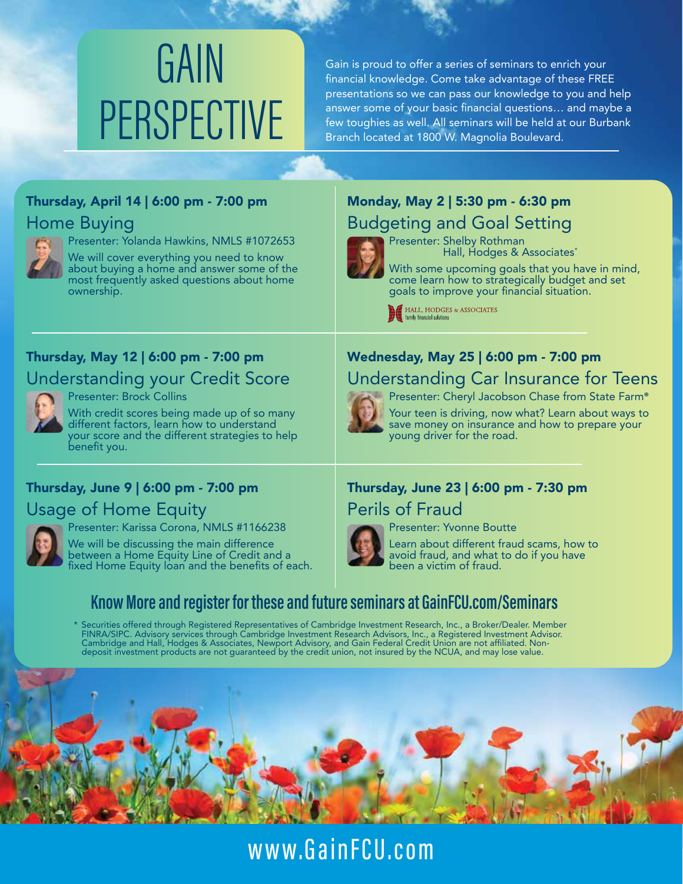# **GAIN** PERSPECTIVE

Gain is proud to offer a series of seminars to enrich your financial knowledge. Come take advantage of these FREE presentations so we can pass our knowledge to you and help answer some of your basic financial questions… and maybe a few toughies as well. All seminars will be held at our Burbank Branch located at 1800 W. Magnolia Boulevard.

#### Thursday, April 14 | 6:00 pm - 7:00 pm Home Buying



Presenter: Yolanda Hawkins, NMLS #1072653 We will cover everything you need to know

about buying a home and answer some of the most frequently asked questions about home ownership.

#### Thursday, May 12 | 6:00 pm - 7:00 pm Understanding your Credit Score



Presenter: Brock Collins

With credit scores being made up of so many different factors, learn how to understand your score and the different strategies to help benefit you.

#### Thursday, June 9 | 6:00 pm - 7:00 pm

Usage of Home Equity



Presenter: Karissa Corona, NMLS #1166238

We will be discussing the main difference between a Home Equity Line of Credit and a fixed Home Equity loan and the benefits of each.

#### Monday, May 2 | 5:30 pm - 6:30 pm Budgeting and Goal Setting



Presenter: Shelby Rothman Hall, Hodges & Associates\*

With some upcoming goals that you have in mind, come learn how to strategically budget and set goals to improve your financial situation.<br> **M** HALL, HODGES & ASSOCIATES

family financial solutions

#### Wednesday, May 25 | 6:00 pm - 7:00 pm Understanding Car Insurance for Teens



Presenter: Cheryl Jacobson Chase from State Farm**®**

Your teen is driving, now what? Learn about ways to save money on insurance and how to prepare your young driver for the road.

#### Thursday, June 23 | 6:00 pm - 7:30 pm Perils of Fraud



Presenter: Yvonne Boutte

Learn about different fraud scams, how to avoid fraud, and what to do if you have been a victim of fraud.

#### **Know More and register for these and future seminars at GainFCU.com/Seminars**

\* Securities offered through Registered Representatives of Cambridge Investment Research, Inc., a Broker/Dealer. Member FINRA/SIPC. Advisory services through Cambridge Investment Research Advisors, Inc., a Registered Investment Advisor. Cambridge and Hall, Hodges & Associates, Newport Advisory, and Gain Federal Credit Union are not affiliated. Nondeposit investment products are not guaranteed by the credit union, not insured by the NCUA, and may lose value.



www.GainFCU.com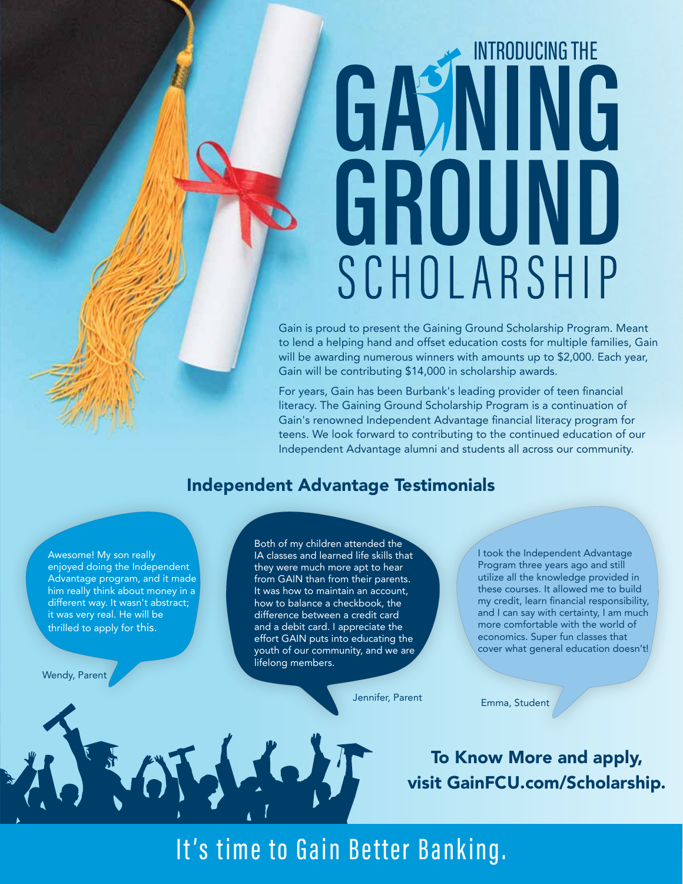# INTRODUCING THE GASINING GROUND SCHOLARSHIP

Gain is proud to present the Gaining Ground Scholarship Program. Meant to lend a helping hand and offset education costs for multiple families, Gain will be awarding numerous winners with amounts up to \$2,000. Each year, Gain will be contributing \$14,000 in scholarship awards.

For years, Gain has been Burbank's leading provider of teen financial literacy. The Gaining Ground Scholarship Program is a continuation of Gain's renowned Independent Advantage financial literacy program for teens. We look forward to contributing to the continued education of our Independent Advantage alumni and students all across our community.

#### Independent Advantage Testimonials

Awesome! My son really enjoyed doing the Independent Advantage program, and it made him really think about money in a different way. It wasn't abstract; it was very real. He will be thrilled to apply for this.

Wendy, Parent

Both of my children attended the IA classes and learned life skills that they were much more apt to hear from GAIN than from their parents. It was how to maintain an account, how to balance a checkbook, the difference between a credit card and a debit card. I appreciate the effort GAIN puts into educating the youth of our community, and we are lifelong members.

I took the Independent Advantage Program three years ago and still utilize all the knowledge provided in these courses. It allowed me to build my credit, learn financial responsibility, and I can say with certainty, I am much more comfortable with the world of economics. Super fun classes that cover what general education doesn't!

Jennifer, Parent Emma, Student

To Know More and apply, visit GainFCU.com/Scholarship.

### It's time to Gain Better Banking.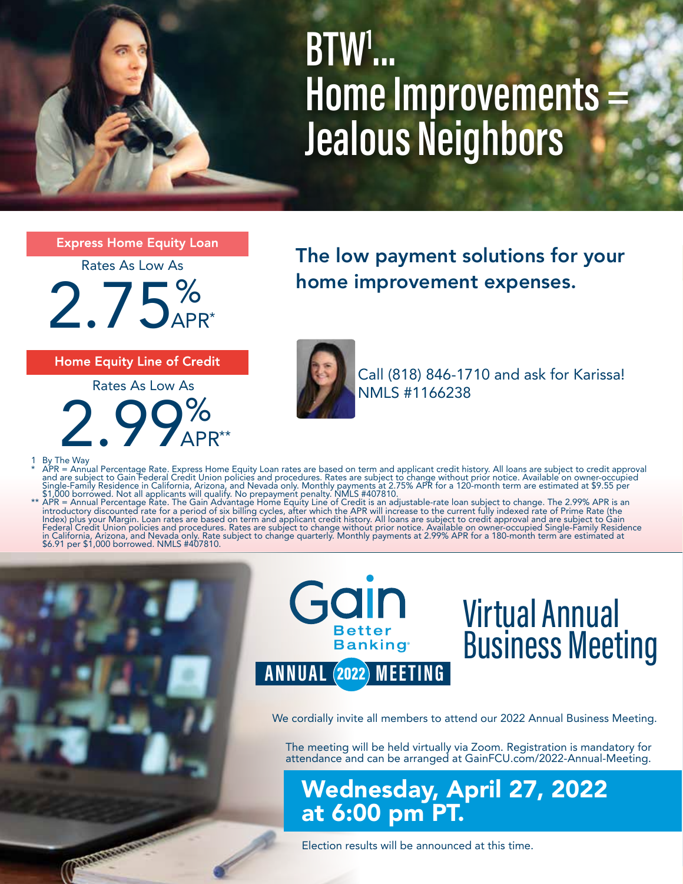**BTW1 ... Home Improvements Jealous Neighbors**

**Express Home Equity Loan** 

Rates As Low As

 $2.75%$  home improvement expenses. APR\*

**Home Equity Line of Credit** 

 $2.99%$ APR\*\* Rates As Low As

The low payment solutions for your



Call (818) 846-1710 and ask for Karissa! NMLS #1166238

Commander

1 By The Way<br>
\* APR = Annual Percentage Rate. Express Home Equity Loan rates are based on term and applicant credit history. All loans are subject to credit approval<br>
\* APR = Annual Percentage Rate. Express Home Equity Loa



## Virtual Annual Business Meeting

We cordially invite all members to attend our 2022 Annual Business Meeting.

The meeting will be held virtually via Zoom. Registration is mandatory for attendance and can be arranged at GainFCU.com/2022-Annual-Meeting.

Wednesday, April 27, 2022 at 6:00 pm PT.

Election results will be announced at this time.